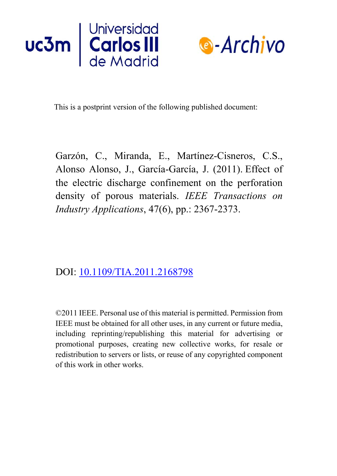



This is a postprint version of the following published document:

Garzón, C., Miranda, E., Martínez-Cisneros, C.S., Alonso Alonso, J., García-García, J. (2011). Effect of the electric discharge confinement on the perforation density of porous materials. *IEEE Transactions on Industry Applications*, 47(6), pp.: 2367-2373.

## DOI: 10.1109/TIA.2011.2168798

©2011 IEEE. Personal use of this material is permitted. Permission from IEEE must be obtained for all other uses, in any current or future media, including reprinting/republishing this material for advertising or promotional purposes, creating new collective works, for resale or redistribution to servers or lists, or reuse of any copyrighted component of this work in other works.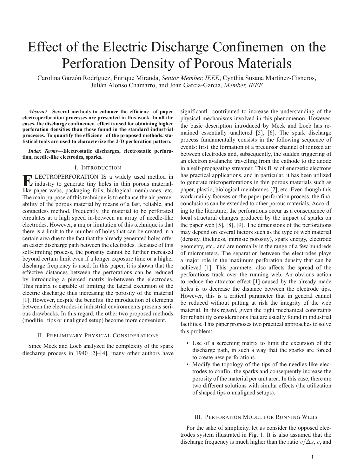# Effect of the Electric Discharge Confinemen on the Perforation Density of Porous Materials

Carolina Garzón Rodríguez, Enrique Miranda, *Senior Member, IEEE*, Cynthia Susana Martínez-Cisneros, Julián Alonso Chamarro, and Joan Garcia-Garcia, *Member, IEEE*

*Abstract***—Several methods to enhance the efficienc of paper electroperforation processes are presented in this work. In all the cases, the discharge confinemen effect is used for obtaining higher perforation densities than those found in the standard industrial processes. To quantify the efficienc of the proposed methods, statistical tools are used to characterize the 2-D perforation pattern.**

*Index Terms***—Electrostatic discharges, electrostatic perforation, needle-like electrodes, sparks.**

#### I. INTRODUCTION

**ELECTROPERFORATION IS a widely used method in**<br>industry to generate tiny holes in thin porous material-<br>illes nonon webs, preclassing fails, higherical membranes, at like paper webs, packaging foils, biological membranes, etc. The main purpose of this technique is to enhance the air permeability of the porous material by means of a fast, reliable, and contactless method. Frequently, the material to be perforated circulates at a high speed in-between an array of needle-like electrodes. However, a major limitation of this technique is that there is a limit to the number of holes that can be created in a certain area due to the fact that the already generated holes offer an easier discharge path between the electrodes. Because of this self-limiting process, the porosity cannot be further increased beyond certain limit even if a longer exposure time or a higher discharge frequency is used. In this paper, it is shown that the effective distances between the perforations can be reduced by introducing a pierced matrix in-between the electrodes. This matrix is capable of limiting the lateral excursion of the electric discharge thus increasing the porosity of the material [1]. However, despite the benefits the introduction of elements between the electrodes in industrial environments presents serious drawbacks. In this regard, the other two proposed methods (modifie tips or unaligned setup) become more convenient.

#### II. PRELIMINARY PHYSICAL CONSIDERATIONS

Since Meek and Loeb analyzed the complexity of the spark discharge process in 1940 [2]–[4], many other authors have significantl contributed to increase the understanding of the physical mechanisms involved in this phenomenon. However, the basic description introduced by Meek and Loeb has remained essentially unaltered [5], [6]. The spark discharge process fundamentally consists in the following sequence of events: first the formation of a precursor channel of ionized air between electrodes and, subsequently, the sudden triggering of an electron avalanche travelling from the cathode to the anode in a self-propagating streamer. This fl w of energetic electrons has practical applications, and in particular, it has been utilized to generate microperforations in thin porous materials such as paper, plastic, biological membranes [7], etc. Even though this work mainly focuses on the paper perforation process, the fina conclusions can be extended to other porous materials. According to the literature, the perforations occur as a consequence of local structural changes produced by the impact of sparks on the paper web [5], [8], [9]. The dimensions of the perforations may depend on several factors such as the type of web material (density, thickness, intrinsic porosity), spark energy, electrode geometry, etc., and are normally in the range of a few hundreds of micrometers. The separation between the electrodes plays a major role in the maximum perforation density that can be achieved [1]. This parameter also affects the spread of the perforations track over the running web. An obvious action to reduce the attractor effect [1] caused by the already made holes is to decrease the distance between the electrode tips. However, this is a critical parameter that in general cannot be reduced without putting at risk the integrity of the web material. In this regard, given the tight mechanical constraints for reliability considerations that are usually found in industrial facilities. This paper proposes two practical approaches to solve this problem:

- Use of a screening matrix to limit the excursion of the discharge path, in such a way that the sparks are forced to create new perforations.
- Modify the topology of the tips of the needles-like electrodes to confin the sparks and consequently increase the porosity of the material per unit area. In this case, there are two different solutions with similar effects (the utilization of shaped tips o unaligned setups).

#### III. PERFORATION MODEL FOR RUNNING WEBS

For the sake of simplicity, let us consider the opposed electrodes system illustrated in Fig. 1. It is also assumed that the discharge frequency is much higher than the ratio  $v/\Delta s$ , v, and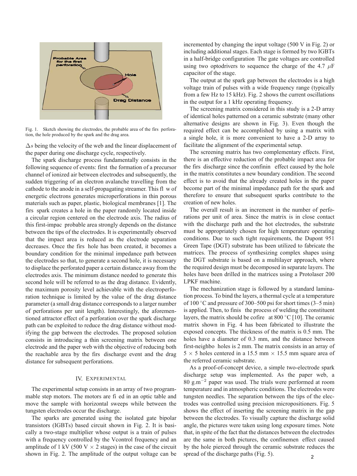

Fig. 1. Sketch showing the electrodes, the probable area of the firs perforation, the hole produced by the spark and the drag area.

 $\Delta s$  being the velocity of the web and the linear displacement of the paper during one discharge cycle, respectively.

The spark discharge process fundamentally consists in the following sequence of events: first the formation of a precursor channel of ionized air between electrodes and subsequently, the sudden triggering of an electron avalanche travelling from the cathode to the anode in a self-propagating streamer. This fl w of energetic electrons generates microperforations in thin porous materials such as paper, plastic, biological membranes [1]. The firs spark creates a hole in the paper randomly located inside a circular region centered on the electrode axis. The radius of this first-impac probable area strongly depends on the distance between the tips of the electrodes. It is experimentally observed that the impact area is reduced as the electrode separation decreases. Once the firs hole has been created, it becomes a boundary condition for the minimal impedance path between the electrodes so that, to generate a second hole, it is necessary to displace the perforated paper a certain distance away from the electrodes axis. The minimum distance needed to generate this second hole will be referred to as the drag distance. Evidently, the maximum porosity level achievable with the electroperforation technique is limited by the value of the drag distance parameter (a small drag distance corresponds to a larger number of perforations per unit length). Interestingly, the aforementioned attractor effect of a perforation over the spark discharge path can be exploited to reduce the drag distance without modifying the gap between the electrodes. The proposed solution consists in introducing a thin screening matrix between one electrode and the paper web with the objective of reducing both the reachable area by the firs discharge event and the drag distance for subsequent perforations.

#### IV. EXPERIMENTAL

The experimental setup consists in an array of two programmable step motors. The motors are fi ed in an optic table and move the sample with horizontal sweeps while between the tungsten electrodes occur the discharge.

The sparks are generated using the isolated gate bipolar transistors (IGBTs) based circuit shown in Fig. 2. It is basically a two-stage multiplier whose output is a train of pulses with a frequency controlled by the Vcontrol frequency and an amplitude of 1 kV (500 V  $\times$  2 stages) in the case of the circuit shown in Fig. 2. The amplitude of the output voltage can be incremented by changing the input voltage (500 V in Fig. 2) or including additional stages. Each stage is formed by two IGBTs in a half-bridge configuration The gate voltages are controlled using two optodrivers to sequence the charge of the 4.7  $\mu$ F capacitor of the stage.

The output at the spark gap between the electrodes is a high voltage train of pulses with a wide frequency range (typically from a few Hz to 15 kHz). Fig. 2 shows the current oscillations in the output for a 1 kHz operating frequency.

The screening matrix considered in this study is a 2-D array of identical holes patterned on a ceramic substrate (many other alternative designs are shown in Fig. 3). Even though the required effect can be accomplished by using a matrix with a single hole, it is more convenient to have a 2-D array to facilitate the alignment of the experimental setup.

The screening matrix has two complementary effects. First, there is an effective reduction of the probable impact area for the firs discharge since the confinin effect caused by the hole in the matrix constitutes a new boundary condition. The second effect is to avoid that the already created holes in the paper become part of the minimal impedance path for the spark and therefore to ensure that subsequent sparks contribute to the creation of new holes.

The overall result is an increment in the number of perforations per unit of area. Since the matrix is in close contact with the discharge path and the hot electrodes, the substrate must be appropriately chosen for high temperature operating conditions. Due to such tight requirements, the Dupont 951 Green Tape (DGT) substrate has been utilized to fabricate the matrices. The process of synthesizing complex shapes using the DGT substrate is based on a multilayer approach, where the required design must be decomposed in separate layers. The holes have been drilled in the matrices using a Protolaser 200 LPKF machine.

The mechanization stage is followed by a standard lamination process. To bind the layers, a thermal cycle at a temperature of 100  $\degree$ C and pressure of 300–500 psi for short times (3–5 min) is applied. Then, to finis the process of welding the constituent layers, the matrix should be cofire at  $800\degree\text{C}$  [10]. The ceramic matrix shown in Fig. 4 has been fabricated to illustrate the exposed concepts. The thickness of the matrix is 0.5 mm. The holes have a diameter of 0.3 mm, and the distance between first-neighbo holes is 2 mm. The matrix consists in an array of  $5 \times 5$  holes centered in a 15.5 mm  $\times$  15.5 mm square area of the referred ceramic substrate.

As a proof-of-concept device, a simple two-electrode spark discharge setup was implemented. As the paper web, a 80 g.m−<sup>2</sup> paper was used. The trials were performed at room temperature and in atmospheric conditions. The electrodes were tungsten needles. The separation between the tips of the electrodes was controlled using precision micropositioners. Fig. 5 shows the effect of inserting the screening matrix in the gap between the electrodes. To visually capture the discharge solid angle, the pictures were taken using long exposure times. Note that, in spite of the fact that the distances between the electrodes are the same in both pictures, the confinemen effect caused by the hole pierced through the ceramic substrate reduces the spread of the discharge paths (Fig. 5).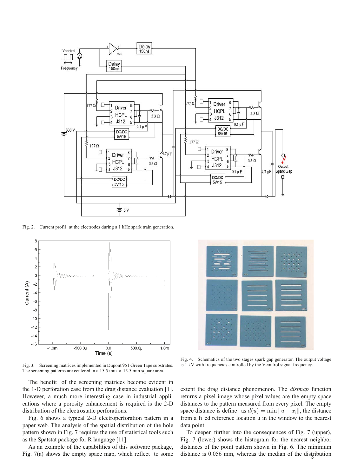

Fig. 2. Current profil at the electrodes during a 1 kHz spark train generation.



Fig. 3. Screening matrices implemented in Dupont 951 Green Tape substrates. The screening patterns are centered in a  $15.5$  mm  $\times$  15.5 mm square area.

The benefit of the screening matrices become evident in the 1-D perforation case from the drag distance evaluation [1]. However, a much more interesting case in industrial applications where a porosity enhancement is required is the 2-D distribution of the electrostatic perforations.

Fig. 6 shows a typical 2-D electroperforation pattern in a paper web. The analysis of the spatial distribution of the hole pattern shown in Fig. 7 requires the use of statistical tools such as the Spatstat package for R language [11].

As an example of the capabilities of this software package, Fig. 7(a) shows the empty space map, which reflect to some



Fig. 4. Schematics of the two stages spark gap generator. The output voltage is 1 kV with frequencies controlled by the Vcontrol signal frequency.

extent the drag distance phenomenon. The *distmap* function returns a pixel image whose pixel values are the empty space distances to the pattern measured from every pixel. The empty space distance is define as  $d(u) = \min \|u - x_i\|$ , the distance from a fi ed reference location u in the window to the nearest data point.

To deepen further into the consequences of Fig. 7 (upper), Fig. 7 (lower) shows the histogram for the nearest neighbor distances of the point pattern shown in Fig. 6. The minimum distance is 0.056 mm, whereas the median of the distribution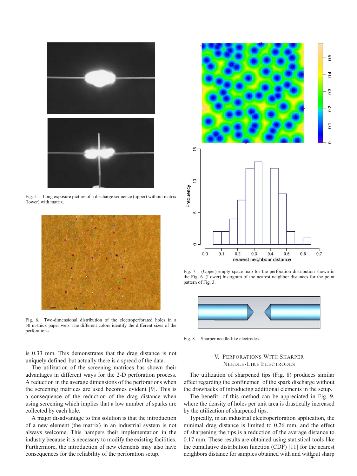

Fig. 5. Long exposure picture of a discharge sequence (upper) without matrix (lower) with matrix.



Fig. 6. Two-dimensional distribution of the electroperforated holes in a 50 m-thick paper web. The different colors identify the different sizes of the perforations.



Fig. 7. (Upper) empty space map for the perforation distribution shown in the Fig. 6. (Lower) histogram of the nearest neighbor distances for the point pattern of Fig. 3.



Fig. 8. Sharper needle-like electrodes.

is 0.33 mm. This demonstrates that the drag distance is not uniquely defined but actually there is a spread of the data.

The utilization of the screening matrices has shown their advantages in different ways for the 2-D perforation process. A reduction in the average dimensions of the perforations when the screening matrices are used becomes evident [9]. This is a consequence of the reduction of the drag distance when using screening which implies that a low number of sparks are collected by each hole.

A major disadvantage to this solution is that the introduction of a new element (the matrix) in an industrial system is not always welcome. This hampers their implementation in the industry because it is necessary to modify the existing facilities. Furthermore, the introduction of new elements may also have consequences for the reliability of the perforation setup.

### V. PERFORATIONS WITH SHARPER NEEDLE-LIKE ELECTRODES

The utilization of sharpened tips (Fig. 8) produces similar effect regarding the confinemen of the spark discharge without the drawbacks of introducing additional elements in the setup.

The benefit of this method can be appreciated in Fig. 9, where the density of holes per unit area is drastically increased by the utilization of sharpened tips.

Typically, in an industrial electroperforation application, the minimal drag distance is limited to 0.26 mm, and the effect of sharpening the tips is a reduction of the average distance to 0.17 mm. These results are obtained using statistical tools like the cumulative distribution function (CDF) [11] for the nearest neighbors distance for samples obtained with and with out sharp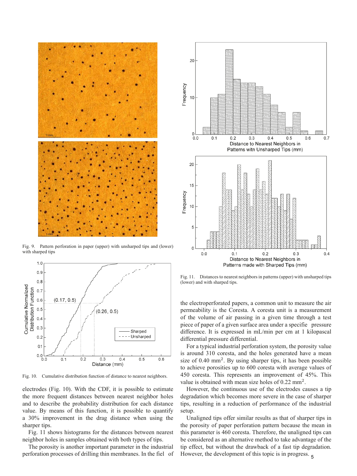

Fig. 9. Pattern perforation in paper (upper) with unsharped tips and (lower) with sharped tips



Fig. 10. Cumulative distribution function of distance to nearest neighbors.

electrodes (Fig. 10). With the CDF, it is possible to estimate the more frequent distances between nearest neighbor holes and to describe the probability distribution for each distance value. By means of this function, it is possible to quantify a 30% improvement in the drag distance when using the sharper tips.

Fig. 11 shows histograms for the distances between nearest neighbor holes in samples obtained with both types of tips.

The porosity is another important parameter in the industrial perforation processes of drilling thin membranes. In the fiel of



Fig. 11. Distances to nearest neighbors in patterns (upper) with unsharped tips (lower) and with sharped tips.

the electroperforated papers, a common unit to measure the air permeability is the Coresta. A coresta unit is a measurement of the volume of air passing in a given time through a test piece of paper of a given surface area under a specifie pressure difference. It is expressed in mL/min per cm at 1 kilopascal differential pressure differential.

For a typical industrial perforation system, the porosity value is around 310 coresta, and the holes generated have a mean size of 0.40 mm<sup>2</sup>. By using sharper tips, it has been possible to achieve porosities up to 600 coresta with average values of 450 coresta. This represents an improvement of 45%. This value is obtained with mean size holes of  $0.22 \text{ mm}^2$ .

However, the continuous use of the electrodes causes a tip degradation which becomes more severe in the case of sharper tips, resulting in a reduction of performance of the industrial setup.

Unaligned tips offer similar results as that of sharper tips in the porosity of paper perforation pattern because the mean in this parameter is 460 coresta. Therefore, the unaligned tips can be considered as an alternative method to take advantage of the tip effect, but without the drawback of a fast tip degradation. However, the development of this topic is in progress.  $_5$